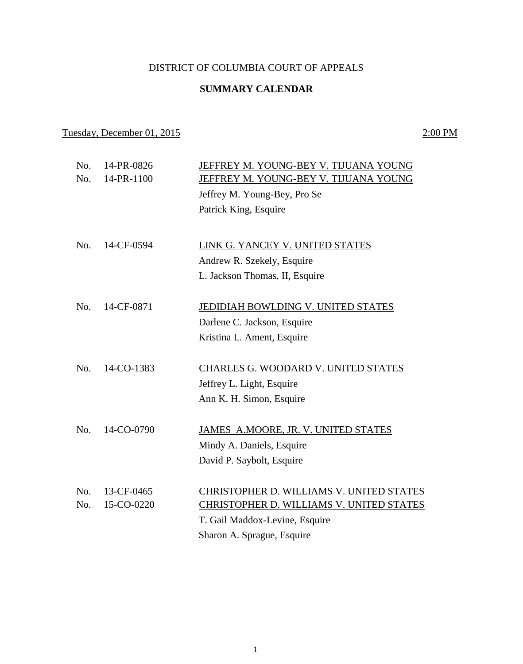## DISTRICT OF COLUMBIA COURT OF APPEALS

## **SUMMARY CALENDAR**

## Tuesday, December 01, 2015 2:00 PM

| No.<br>No. | 14-PR-0826<br>14-PR-1100 | JEFFREY M. YOUNG-BEY V. TIJUANA YOUNG<br>JEFFREY M. YOUNG-BEY V. TIJUANA YOUNG |
|------------|--------------------------|--------------------------------------------------------------------------------|
|            |                          | Jeffrey M. Young-Bey, Pro Se                                                   |
|            |                          | Patrick King, Esquire                                                          |
|            |                          |                                                                                |
| No.        | 14-CF-0594               | LINK G. YANCEY V. UNITED STATES                                                |
|            |                          | Andrew R. Szekely, Esquire                                                     |
|            |                          | L. Jackson Thomas, II, Esquire                                                 |
|            | 14-CF-0871               |                                                                                |
| No.        |                          | JEDIDIAH BOWLDING V. UNITED STATES                                             |
|            |                          | Darlene C. Jackson, Esquire                                                    |
|            |                          | Kristina L. Ament, Esquire                                                     |
| No.        | 14-CO-1383               | <b>CHARLES G. WOODARD V. UNITED STATES</b>                                     |
|            |                          | Jeffrey L. Light, Esquire                                                      |
|            |                          | Ann K. H. Simon, Esquire                                                       |
| No.        |                          |                                                                                |
|            | 14-CO-0790               | JAMES A.MOORE, JR. V. UNITED STATES                                            |
|            |                          | Mindy A. Daniels, Esquire                                                      |
|            |                          | David P. Saybolt, Esquire                                                      |
| No.        | 13-CF-0465               | CHRISTOPHER D. WILLIAMS V. UNITED STATES                                       |
| No.        | 15-CO-0220               | CHRISTOPHER D. WILLIAMS V. UNITED STATES                                       |
|            |                          | T. Gail Maddox-Levine, Esquire                                                 |
|            |                          | Sharon A. Sprague, Esquire                                                     |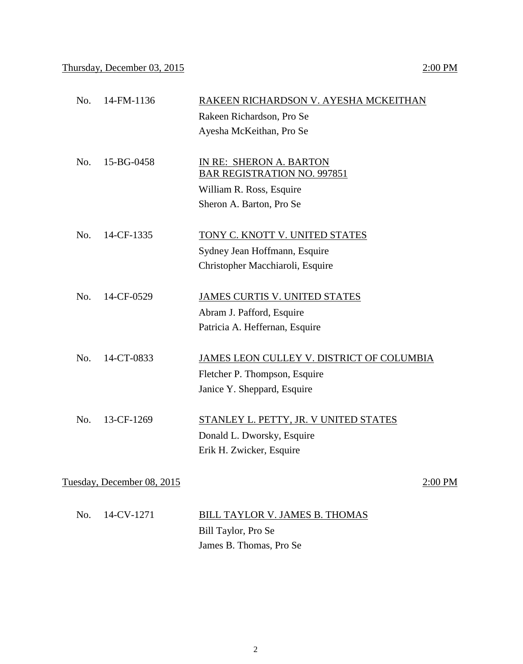|     |            | Rakeen Richardson, Pro Se                 |
|-----|------------|-------------------------------------------|
|     |            | Ayesha McKeithan, Pro Se                  |
|     |            |                                           |
| No. | 15-BG-0458 | IN RE: SHERON A. BARTON                   |
|     |            | <b>BAR REGISTRATION NO. 997851</b>        |
|     |            | William R. Ross, Esquire                  |
|     |            | Sheron A. Barton, Pro Se                  |
|     |            |                                           |
| No. | 14-CF-1335 | TONY C. KNOTT V. UNITED STATES            |
|     |            | Sydney Jean Hoffmann, Esquire             |
|     |            | Christopher Macchiaroli, Esquire          |
|     |            |                                           |
| No. | 14-CF-0529 | <b>JAMES CURTIS V. UNITED STATES</b>      |
|     |            | Abram J. Pafford, Esquire                 |
|     |            | Patricia A. Heffernan, Esquire            |
|     |            |                                           |
| No. | 14-CT-0833 | JAMES LEON CULLEY V. DISTRICT OF COLUMBIA |
|     |            | Fletcher P. Thompson, Esquire             |
|     |            | Janice Y. Sheppard, Esquire               |
|     |            |                                           |
| No. | 13-CF-1269 | STANLEY L. PETTY, JR. V UNITED STATES     |
|     |            | Donald L. Dworsky, Esquire                |
|     |            | Erik H. Zwicker, Esquire                  |
|     |            |                                           |

Tuesday, December 08, 2015 2:00 PM

| No. 14-CV-1271 | BILL TAYLOR V. JAMES B. THOMAS |
|----------------|--------------------------------|
|                | Bill Taylor, Pro Se            |
|                | James B. Thomas, Pro Se        |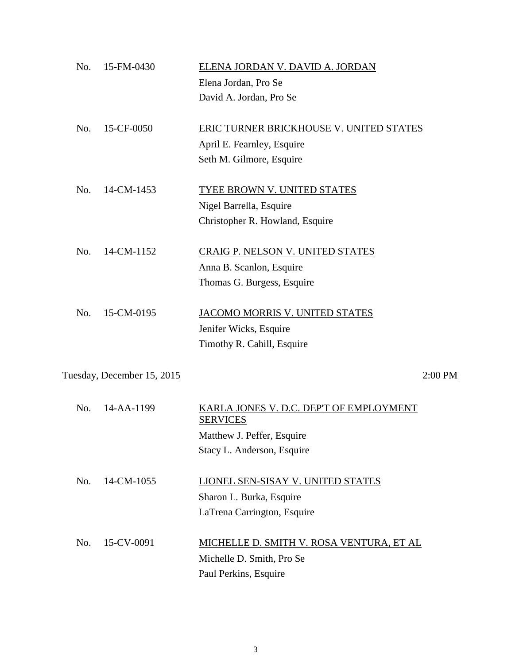| 15-FM-0430<br>No.          | ELENA JORDAN V. DAVID A. JORDAN                            |  |
|----------------------------|------------------------------------------------------------|--|
|                            | Elena Jordan, Pro Se                                       |  |
|                            | David A. Jordan, Pro Se                                    |  |
| 15-CF-0050<br>No.          | ERIC TURNER BRICKHOUSE V. UNITED STATES                    |  |
|                            | April E. Fearnley, Esquire                                 |  |
|                            | Seth M. Gilmore, Esquire                                   |  |
| No.<br>14-CM-1453          | <b>TYEE BROWN V. UNITED STATES</b>                         |  |
|                            | Nigel Barrella, Esquire                                    |  |
|                            | Christopher R. Howland, Esquire                            |  |
| 14-CM-1152<br>No.          | <b>CRAIG P. NELSON V. UNITED STATES</b>                    |  |
|                            | Anna B. Scanlon, Esquire                                   |  |
|                            | Thomas G. Burgess, Esquire                                 |  |
| 15-CM-0195<br>No.          | JACOMO MORRIS V. UNITED STATES                             |  |
|                            | Jenifer Wicks, Esquire                                     |  |
|                            | Timothy R. Cahill, Esquire                                 |  |
| Tuesday, December 15, 2015 | $2:00$ PM                                                  |  |
| No.<br>14-AA-1199          | KARLA JONES V. D.C. DEP'T OF EMPLOYMENT<br><b>SERVICES</b> |  |
|                            | Matthew J. Peffer, Esquire                                 |  |
|                            | Stacy L. Anderson, Esquire                                 |  |
| 14-CM-1055<br>No.          | LIONEL SEN-SISAY V. UNITED STATES                          |  |
|                            | Sharon L. Burka, Esquire                                   |  |
|                            | LaTrena Carrington, Esquire                                |  |
| 15-CV-0091<br>No.          | MICHELLE D. SMITH V. ROSA VENTURA, ET AL                   |  |
|                            | Michelle D. Smith, Pro Se                                  |  |
|                            | Paul Perkins, Esquire                                      |  |

3